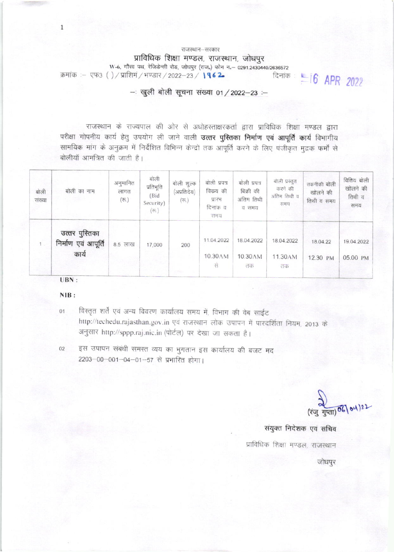राजस्थान-सरकार प्राविधिक शिक्षा मण्डल, राजस्थान, जोधपुर W-6, गौरव पथ, रेजिडेन्सी रोड, जोघपुर (राज.) फोन न - 0291.2430440/2636572 दिनांक : 16 APR 2022 क्रमांक :– एफ3 ()/प्राशिमं/भण्डार/2022-23/1962

- खुली बोली सूचना संख्या 01 / 2022-23 :-

राजस्थान के राज्यपाल की ओर से अधोहस्ताक्षरकर्ता द्वारा प्राविधिक शिक्षा मण्डल द्वारा परीक्षा गोपनीय कार्य हेतू उपयोग ली जाने वाली उत्तर पुस्तिका निर्माण एवं आपूर्ति कार्य विभागीय सामयिक मांग के अनुक्रम में निर्देशित विभिन्न केन्द्रों तक आपूर्ति करने के लिए पंजीकृत मुद्रक फर्मों से बोलीयॉ आमंत्रित की जाती है।

| बोली<br>संख्या | बोली का नाम                                    | अनुमानित<br>लागत<br>$(\overline{\tau_{0}})$ | बोली<br>प्रतिभूति<br>(Bid<br>Security)<br>$(\overline{\tau_2})$ | बोली शुल्क<br>(अप्रतिदेय)<br>$(\overline{\tau\eta}_{\cdot})$ | बोली प्रपत्र<br>विकय की<br>प्रारम<br>दिनाक व<br>समय | बोली प्रपत्र<br>बिक्री की<br>अंतिम तिथी<br>व समय | बोली प्रस्तुत<br>करने की<br>अंतिम तिथी व<br>समय | तकनीकी बोली<br>खोलने की<br>तिथी व समय | वितिय बोली<br>खोलने की<br>तिथी व<br>समय |
|----------------|------------------------------------------------|---------------------------------------------|-----------------------------------------------------------------|--------------------------------------------------------------|-----------------------------------------------------|--------------------------------------------------|-------------------------------------------------|---------------------------------------|-----------------------------------------|
| 1              | उत्तर पुस्तिका<br>निर्माण एवं आपूर्ति<br>कार्य | 8.5 लाख                                     | 17,000                                                          | 200<br>Picco                                                 | 11.04.2022<br>10.30AM<br>स                          | 18.04.2022<br>10.30AM<br>तक                      | 18.04.2022<br>11.30AM<br>$\overline{142}$       | 18.04.22<br>12.30 PM                  | 19.04.2022<br>05.00 PM                  |
|                | UBN:                                           |                                             |                                                                 |                                                              |                                                     |                                                  |                                                 |                                       |                                         |

 $\mathbf{1}$ 

NIB:

विस्तृत शर्ते एवं अन्य विवरण कार्यालय समय में, विभाग की वेब साईट  $01$ 

http://techedu.rajasthan.gov.in एवं राजस्थान लोक उपापन में पारदर्शिता नियम, 2013 के अनुसार http://sppp.raj.nic.in (पोर्टल) पर देखा जा सकता है।

इस उपापन संबंधी समस्त व्यय का भुगतान इस कार्यालय की बजट मद  $02$ 2203-00-001-04-01-57 से प्रभारित होगा।

(रंजु गुप्ता) 06/04/22

संयुक्त निदेशक एवं सचिव

प्राविधिक शिक्षा मण्डल, राजस्थान

जोधपुर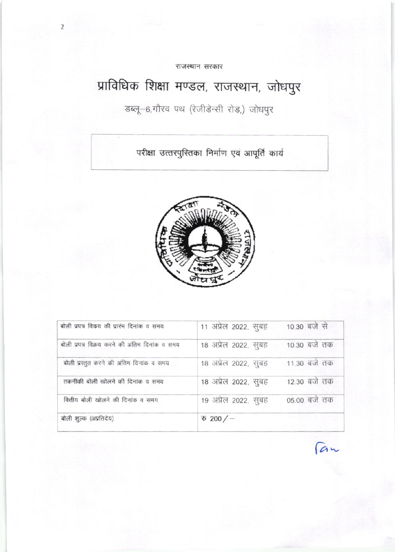राजस्थान सरकार

 $\overline{2}$ 

# प्राविधिक शिक्षा मण्डल, राजस्थान, जोधपुर

# डब्लू-6,गौरव पथ (रेजीडेन्सी रोड़,) जोधपुर

परीक्षा उत्तरपुस्तिका निर्माण एवं आपूर्ति कार्य



| बोली प्रपत्र विकय की प्रारंभ दिनांक व समय      | 11 अप्रेल 2022, सुबह           | 10.30 बजे से |
|------------------------------------------------|--------------------------------|--------------|
| बोली प्रपत्र विक्रय करने की अंतिम दिनांक व समय | 18 अप्रेल 2022, सुबह           | 10.30 बजे तक |
| बोली प्रस्तुत करने की अंतिम दिनांक व समय       | 18 अप्रेल 2022, सुबह           | 11.30 बजे तक |
| तकनीकी बोली खोलने की दिनांक व समय              | 18 अप्रेल 2022, सुबह           | 12.30 बजे तक |
| वित्तीय बोली खोलने की दिनांक व समय             | 19 अप्रेल 2022, सुबह           | 05.00 बजे तक |
| बोली शुल्क (अप्रतिदेय)                         | $\overline{\mathcal{D}}$ 200/- |              |

*<u>Can</u>*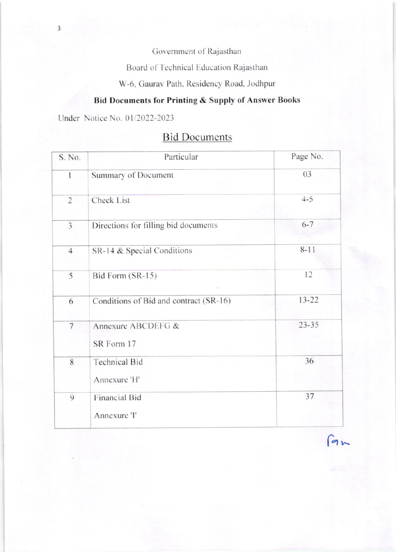Government of Rajasthan

Board of Technical Education Rajasthan

W-6, Gaurav Path, Residency Road, Jodhpur

### **Bid Documents for Printing & Supply of Answer Books**

Under Notice No. 01/2022-2023

| S. No.         | Particular                             | Page No.  |
|----------------|----------------------------------------|-----------|
| 1              | Summary of Document                    | 03        |
| $\overline{2}$ | Check List                             | $4 - 5$   |
| 3              | Directions for filling bid documents   | $6 - 7$   |
| $\overline{4}$ | SR-14 & Special Conditions             | $8 - 11$  |
| 5              | Bid Form (SR-15)                       | 12        |
| 6              | Conditions of Bid and contract (SR-16) | 13-22     |
| $\overline{7}$ | Annexure ABCDEFG &<br>SR Form 17       | $23 - 35$ |
| 8              | <b>Technical Bid</b><br>Annexure 'H'   | 36        |
| 9              | <b>Financial Bid</b><br>Annexure 'I'   | 37        |

### **Bid Documents**

 $9<sub>k</sub>$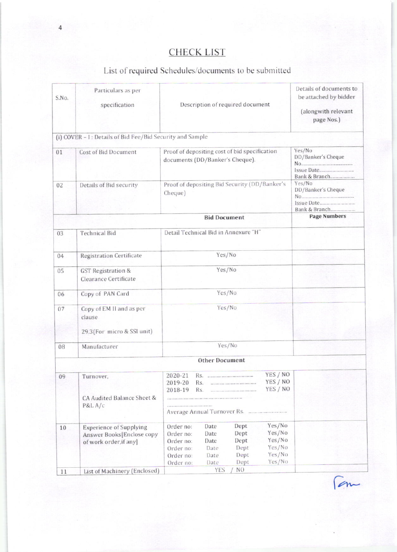# **CHECK LIST**

## List of required Schedules/documents to be submitted

| S.No. | Particulars as per<br>specification                                                   | Description of required document                                                                                                                                                                                                       | Details of documents to<br>be attached by bidder<br>(alongwith relevant<br>page Nos.) |
|-------|---------------------------------------------------------------------------------------|----------------------------------------------------------------------------------------------------------------------------------------------------------------------------------------------------------------------------------------|---------------------------------------------------------------------------------------|
|       | (i) COVER - I: Details of Bid Fee/Bid Security and Sample                             |                                                                                                                                                                                                                                        |                                                                                       |
| 01    | Cost of Bid Document                                                                  | Proof of depositing cost of bid specification<br>documents (DD/Banker's Cheque).                                                                                                                                                       | Yes/No<br>DD/Banker's Cheque<br>Bank & Branch                                         |
| 02    | Details of Bid security                                                               | Proof of depositing Bid Security (DD/Banker's<br>Cheque)                                                                                                                                                                               | Yes/No<br>DD/Banker's Cheque<br>Issue Date<br>Bank & Branch                           |
|       |                                                                                       | <b>Bid Document</b>                                                                                                                                                                                                                    | <b>Page Numbers</b>                                                                   |
| 03    | <b>Technical Bid</b>                                                                  | Detail Technical Bid in Annexure "H"                                                                                                                                                                                                   |                                                                                       |
| 04    | <b>Registration Certificate</b>                                                       | Yes/No                                                                                                                                                                                                                                 |                                                                                       |
| 05    | <b>GST Registration &amp;</b><br>Clearance Certificate                                | Yes/No                                                                                                                                                                                                                                 |                                                                                       |
| 06    | Copy of PAN Card                                                                      | Yes/No                                                                                                                                                                                                                                 |                                                                                       |
| 07    | Copy of EM II and as per<br>clause                                                    | Yes/No                                                                                                                                                                                                                                 |                                                                                       |
|       | 29.3(For micro & SSI unit)                                                            |                                                                                                                                                                                                                                        |                                                                                       |
| 08    | Manufacturer                                                                          | Yes/No                                                                                                                                                                                                                                 |                                                                                       |
|       |                                                                                       | <b>Other Document</b>                                                                                                                                                                                                                  |                                                                                       |
| 09    | Turnover,<br>CA Audited Balance Sheet &<br>P&L A/c                                    | YES / NO<br>2020-21<br>Rs.<br>YES / NO<br>2019-20<br>Rs.<br><br>YES / NO<br>2018-19<br>Rs.<br>                                                                                                                                         |                                                                                       |
| 10    | <b>Experience of Supplying</b><br>Answer Books[Enclose copy<br>of work order, if any] | Yes/No<br>Dept<br>Order no:<br>Date<br>Yes/No<br>Dept<br>Order no:<br>Date<br>Yes/No<br>Dept<br>Date<br>Order no:<br>Yes/No<br>Dept<br>Date<br>Order no:<br>Yes/No<br>Dept<br>Order no:<br>Date<br>Yes/No<br>Dept<br>Date<br>Order no: |                                                                                       |
| 11    | List of Machinery (Enclosed)                                                          | <b>YES</b><br>NO.                                                                                                                                                                                                                      |                                                                                       |

Fam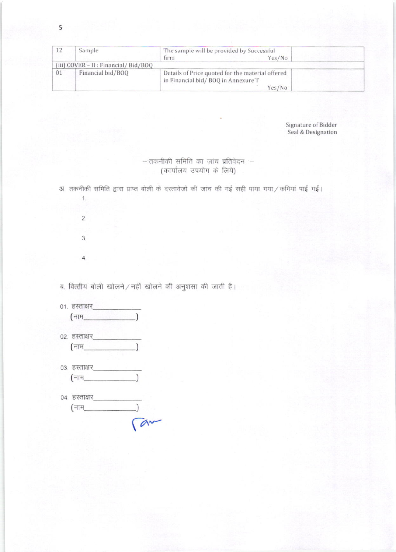| 12 | Sample                               | The sample will be provided by Successful<br>Yes/No<br>firm                                       |  |
|----|--------------------------------------|---------------------------------------------------------------------------------------------------|--|
|    | (iii) COVER - II : Financial/Bid/BOQ |                                                                                                   |  |
| 01 | Financial bid/BOO                    | Details of Price quoted for the material offered<br>in Financial bid/BOQ in Annexure'l'<br>Yes/No |  |

Signature of Bidder Seal & Designation

#### $-$ :तकनीकी समिति का जांच प्रतिवेदन $-$ (कार्यालय उपयोग के लिये)

अ. तकनीकी समिति द्वारा प्राप्त बोली के दस्तावेजों की जांच की गई सही पाया गया / कमियां पाई गई।

 $\overline{2}$  $3.$  $4.$ 

 $1.$ 

ब. वित्तीय बोली खोलने / नहीं खोलने की अनुशंसा की जाती है।

- $(\overline{a}$ नाम $\overline{a}$  and  $\overline{a}$  and  $\overline{a}$  and  $\overline{a}$  and  $\overline{a}$  and  $\overline{a}$  and  $\overline{a}$  and  $\overline{a}$  and  $\overline{a}$  and  $\overline{a}$  and  $\overline{a}$  and  $\overline{a}$  and  $\overline{a}$  and  $\overline{a}$  and  $\overline{a}$  and  $\overline{a}$  and
- 02. हस्ताक्षर  $(\frac{1}{2} - \frac{1}{2})$
- $($ नाम $\_$  $\lambda$
- 04. हस्ताक्षर  $\frac{1}{\sqrt{a^2}}$ (नाम\_